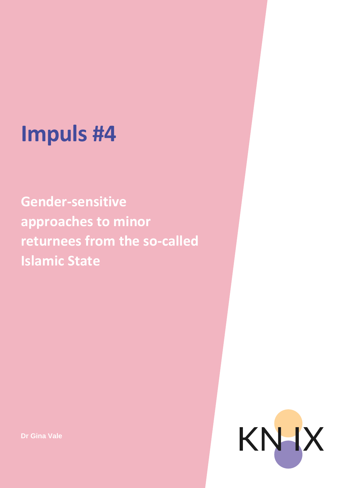## **Impuls #4**

**Gender-sensitive approaches to minor returnees from the so-called Islamic State**

KNHX

**Dr Gina Vale**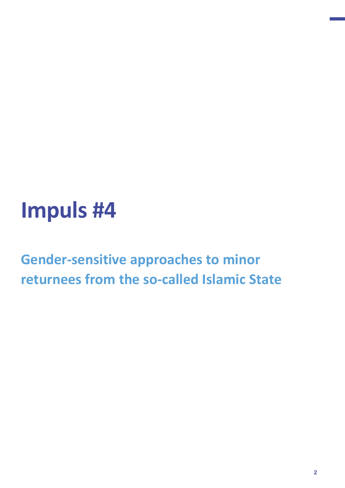## **Impuls #4**

**Gender-sensitive approaches to minor returnees from the so-called Islamic State**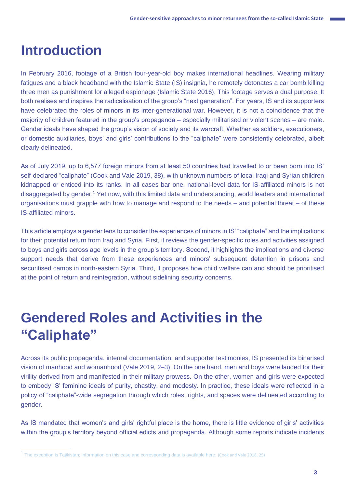### **Introduction**

In February 2016, footage of a British four-year-old boy makes international headlines. Wearing military fatigues and a black headband with the Islamic State (IS) insignia, he remotely detonates a car bomb killing three men as punishment for alleged espionage (Islamic State 2016). This footage serves a dual purpose. It both realises and inspires the radicalisation of the group's "next generation". For years, IS and its supporters have celebrated the roles of minors in its inter-generational war. However, it is not a coincidence that the majority of children featured in the group's propaganda – especially militarised or violent scenes – are male. Gender ideals have shaped the group's vision of society and its warcraft. Whether as soldiers, executioners, or domestic auxiliaries, boys' and girls' contributions to the "caliphate" were consistently celebrated, albeit clearly delineated.

As of July 2019, up to 6,577 foreign minors from at least 50 countries had travelled to or been born into IS' self-declared "caliphate" (Cook and Vale 2019, 38), with unknown numbers of local Iraqi and Syrian children kidnapped or enticed into its ranks. In all cases bar one, national-level data for IS-affiliated minors is not disaggregated by gender.<sup>1</sup> Yet now, with this limited data and understanding, world leaders and international organisations must grapple with how to manage and respond to the needs – and potential threat – of these IS-affiliated minors.

This article employs a gender lens to consider the experiences of minors in IS' "caliphate" and the implications for their potential return from Iraq and Syria. First, it reviews the gender-specific roles and activities assigned to boys and girls across age levels in the group's territory. Second, it highlights the implications and diverse support needs that derive from these experiences and minors' subsequent detention in prisons and securitised camps in north-eastern Syria. Third, it proposes how child welfare can and should be prioritised at the point of return and reintegration, without sidelining security concerns.

### **Gendered Roles and Activities in the "Caliphate"**

Across its public propaganda, internal documentation, and supporter testimonies, IS presented its binarised vision of manhood and womanhood (Vale 2019, 2–3). On the one hand, men and boys were lauded for their virility derived from and manifested in their military prowess. On the other, women and girls were expected to embody IS' feminine ideals of purity, chastity, and modesty. In practice, these ideals were reflected in a policy of "caliphate"-wide segregation through which roles, rights, and spaces were delineated according to gender.

As IS mandated that women's and girls' rightful place is the home, there is little evidence of girls' activities within the group's territory beyond official edicts and propaganda. Although some reports indicate incidents

<sup>&</sup>lt;sup>1</sup> The exception is Tajikistan; information on this case and corresponding data is available here: (Cook and Vale 2018, 25)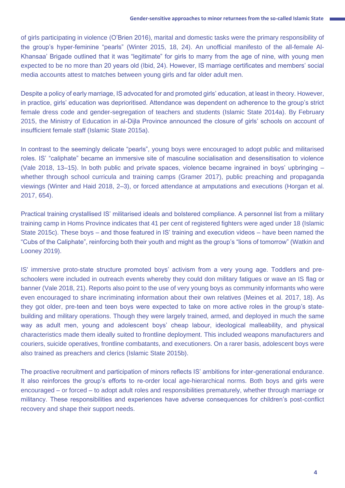of girls participating in violence (O'Brien 2016), marital and domestic tasks were the primary responsibility of the group's hyper-feminine "pearls" (Winter 2015, 18, 24). An unofficial manifesto of the all-female Al-Khansaa' Brigade outlined that it was "legitimate" for girls to marry from the age of nine, with young men expected to be no more than 20 years old (Ibid, 24). However, IS marriage certificates and members' social media accounts attest to matches between young girls and far older adult men.

Despite a policy of early marriage, IS advocated for and promoted girls' education, at least in theory. However, in practice, girls' education was deprioritised. Attendance was dependent on adherence to the group's strict female dress code and gender-segregation of teachers and students (Islamic State 2014a). By February 2015, the Ministry of Education in al-Dijla Province announced the closure of girls' schools on account of insufficient female staff (Islamic State 2015a).

In contrast to the seemingly delicate "pearls", young boys were encouraged to adopt public and militarised roles. IS' "caliphate" became an immersive site of masculine socialisation and desensitisation to violence (Vale 2018, 13–15). In both public and private spaces, violence became ingrained in boys' upbringing – whether through school curricula and training camps (Gramer 2017), public preaching and propaganda viewings (Winter and Haid 2018, 2–3), or forced attendance at amputations and executions (Horgan et al. 2017, 654).

Practical training crystallised IS' militarised ideals and bolstered compliance. A personnel list from a military training camp in Homs Province indicates that 41 per cent of registered fighters were aged under 18 (Islamic State 2015c). These boys – and those featured in IS' training and execution videos – have been named the "Cubs of the Caliphate", reinforcing both their youth and might as the group's "lions of tomorrow" (Watkin and Looney 2019).

IS' immersive proto-state structure promoted boys' activism from a very young age. Toddlers and preschoolers were included in outreach events whereby they could don military fatigues or wave an IS flag or banner (Vale 2018, 21). Reports also point to the use of very young boys as community informants who were even encouraged to share incriminating information about their own relatives (Meines et al. 2017, 18). As they got older, pre-teen and teen boys were expected to take on more active roles in the group's statebuilding and military operations. Though they were largely trained, armed, and deployed in much the same way as adult men, young and adolescent boys' cheap labour, ideological malleability, and physical characteristics made them ideally suited to frontline deployment. This included weapons manufacturers and couriers, suicide operatives, frontline combatants, and executioners. On a rarer basis, adolescent boys were also trained as preachers and clerics (Islamic State 2015b).

The proactive recruitment and participation of minors reflects IS' ambitions for inter-generational endurance. It also reinforces the group's efforts to re-order local age-hierarchical norms. Both boys and girls were encouraged – or forced – to adopt adult roles and responsibilities prematurely, whether through marriage or militancy. These responsibilities and experiences have adverse consequences for children's post-conflict recovery and shape their support needs.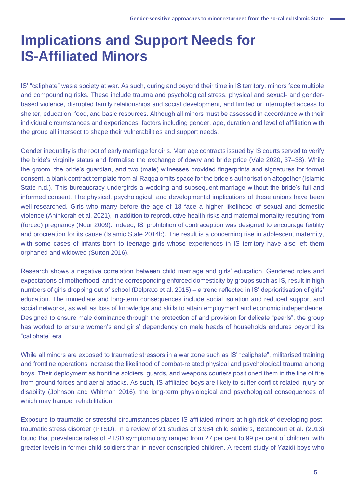### **Implications and Support Needs for IS-Affiliated Minors**

IS' "caliphate" was a society at war. As such, during and beyond their time in IS territory, minors face multiple and compounding risks. These include trauma and psychological stress, physical and sexual- and genderbased violence, disrupted family relationships and social development, and limited or interrupted access to shelter, education, food, and basic resources. Although all minors must be assessed in accordance with their individual circumstances and experiences, factors including gender, age, duration and level of affiliation with the group all intersect to shape their vulnerabilities and support needs.

Gender inequality is the root of early marriage for girls. Marriage contracts issued by IS courts served to verify the bride's virginity status and formalise the exchange of dowry and bride price (Vale 2020, 37–38). While the groom, the bride's guardian, and two (male) witnesses provided fingerprints and signatures for formal consent, a blank contract template from al-Raqqa omits space for the bride's authorisation altogether (Islamic State n.d.). This bureaucracy undergirds a wedding and subsequent marriage without the bride's full and informed consent. The physical, psychological, and developmental implications of these unions have been well-researched. Girls who marry before the age of 18 face a higher likelihood of sexual and domestic violence (Ahinkorah et al. 2021), in addition to reproductive health risks and maternal mortality resulting from (forced) pregnancy (Nour 2009). Indeed, IS' prohibition of contraception was designed to encourage fertility and procreation for its cause (Islamic State 2014b). The result is a concerning rise in adolescent maternity, with some cases of infants born to teenage girls whose experiences in IS territory have also left them orphaned and widowed (Sutton 2016).

Research shows a negative correlation between child marriage and girls' education. Gendered roles and expectations of motherhood, and the corresponding enforced domesticity by groups such as IS, result in high numbers of girls dropping out of school (Delprato et al. 2015) – a trend reflected in IS' deprioritisation of girls' education. The immediate and long-term consequences include social isolation and reduced support and social networks, as well as loss of knowledge and skills to attain employment and economic independence. Designed to ensure male dominance through the protection of and provision for delicate "pearls", the group has worked to ensure women's and girls' dependency on male heads of households endures beyond its "caliphate" era.

While all minors are exposed to traumatic stressors in a war zone such as IS' "caliphate", militarised training and frontline operations increase the likelihood of combat-related physical and psychological trauma among boys. Their deployment as frontline soldiers, guards, and weapons couriers positioned them in the line of fire from ground forces and aerial attacks. As such, IS-affiliated boys are likely to suffer conflict-related injury or disability (Johnson and Whitman 2016), the long-term physiological and psychological consequences of which may hamper rehabilitation.

Exposure to traumatic or stressful circumstances places IS-affiliated minors at high risk of developing posttraumatic stress disorder (PTSD). In a review of 21 studies of 3,984 child soldiers, Betancourt et al. (2013) found that prevalence rates of PTSD symptomology ranged from 27 per cent to 99 per cent of children, with greater levels in former child soldiers than in never-conscripted children. A recent study of Yazidi boys who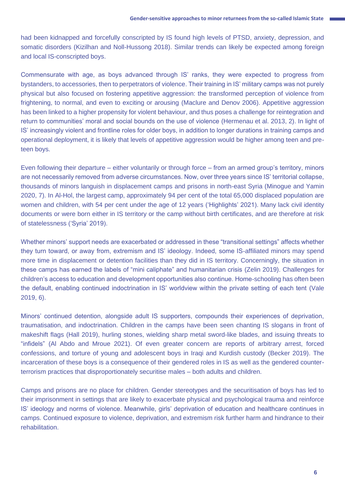had been kidnapped and forcefully conscripted by IS found high levels of PTSD, anxiety, depression, and somatic disorders (Kizilhan and Noll-Hussong 2018). Similar trends can likely be expected among foreign and local IS-conscripted boys.

Commensurate with age, as boys advanced through IS' ranks, they were expected to progress from bystanders, to accessories, then to perpetrators of violence. Their training in IS' military camps was not purely physical but also focused on fostering appetitive aggression: the transformed perception of violence from frightening, to normal, and even to exciting or arousing (Maclure and Denov 2006). Appetitive aggression has been linked to a higher propensity for violent behaviour, and thus poses a challenge for reintegration and return to communities' moral and social bounds on the use of violence (Hermenau et al. 2013, 2). In light of IS' increasingly violent and frontline roles for older boys, in addition to longer durations in training camps and operational deployment, it is likely that levels of appetitive aggression would be higher among teen and preteen boys.

Even following their departure – either voluntarily or through force – from an armed group's territory, minors are not necessarily removed from adverse circumstances. Now, over three years since IS' territorial collapse, thousands of minors languish in displacement camps and prisons in north-east Syria (Minogue and Yamin 2020, 7). In Al-Hol, the largest camp, approximately 94 per cent of the total 65,000 displaced population are women and children, with 54 per cent under the age of 12 years ('Highlights' 2021). Many lack civil identity documents or were born either in IS territory or the camp without birth certificates, and are therefore at risk of statelessness ('Syria' 2019).

Whether minors' support needs are exacerbated or addressed in these "transitional settings" affects whether they turn toward, or away from, extremism and IS' ideology. Indeed, some IS-affiliated minors may spend more time in displacement or detention facilities than they did in IS territory. Concerningly, the situation in these camps has earned the labels of "mini caliphate" and humanitarian crisis (Zelin 2019). Challenges for children's access to education and development opportunities also continue. Home-schooling has often been the default, enabling continued indoctrination in IS' worldview within the private setting of each tent (Vale 2019, 6).

Minors' continued detention, alongside adult IS supporters, compounds their experiences of deprivation, traumatisation, and indoctrination. Children in the camps have been seen chanting IS slogans in front of makeshift flags (Hall 2019), hurling stones, wielding sharp metal sword-like blades, and issuing threats to "infidels" (Al Abdo and Mroue 2021). Of even greater concern are reports of arbitrary arrest, forced confessions, and torture of young and adolescent boys in Iraqi and Kurdish custody (Becker 2019). The incarceration of these boys is a consequence of their gendered roles in IS as well as the gendered counterterrorism practices that disproportionately securitise males – both adults and children.

Camps and prisons are no place for children. Gender stereotypes and the securitisation of boys has led to their imprisonment in settings that are likely to exacerbate physical and psychological trauma and reinforce IS' ideology and norms of violence. Meanwhile, girls' deprivation of education and healthcare continues in camps. Continued exposure to violence, deprivation, and extremism risk further harm and hindrance to their rehabilitation.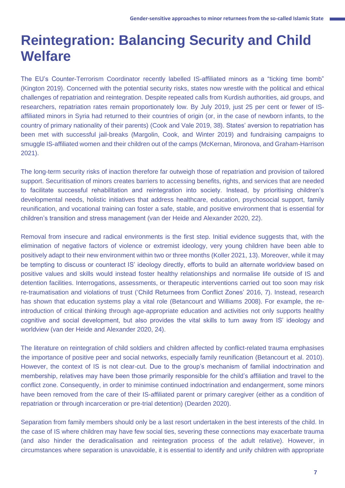### **Reintegration: Balancing Security and Child Welfare**

The EU's Counter-Terrorism Coordinator recently labelled IS-affiliated minors as a "ticking time bomb" (Kington 2019). Concerned with the potential security risks, states now wrestle with the political and ethical challenges of repatriation and reintegration. Despite repeated calls from Kurdish authorities, aid groups, and researchers, repatriation rates remain proportionately low. By July 2019, just 25 per cent or fewer of ISaffiliated minors in Syria had returned to their countries of origin (or, in the case of newborn infants, to the country of primary nationality of their parents) (Cook and Vale 2019, 38). States' aversion to repatriation has been met with successful jail-breaks (Margolin, Cook, and Winter 2019) and fundraising campaigns to smuggle IS-affiliated women and their children out of the camps (McKernan, Mironova, and Graham-Harrison 2021).

The long-term security risks of inaction therefore far outweigh those of repatriation and provision of tailored support. Securitisation of minors creates barriers to accessing benefits, rights, and services that are needed to facilitate successful rehabilitation and reintegration into society. Instead, by prioritising children's developmental needs, holistic initiatives that address healthcare, education, psychosocial support, family reunification, and vocational training can foster a safe, stable, and positive environment that is essential for children's transition and stress management (van der Heide and Alexander 2020, 22).

Removal from insecure and radical environments is the first step. Initial evidence suggests that, with the elimination of negative factors of violence or extremist ideology, very young children have been able to positively adapt to their new environment within two or three months (Koller 2021, 13). Moreover, while it may be tempting to discuss or counteract IS' ideology directly, efforts to build an alternate worldview based on positive values and skills would instead foster healthy relationships and normalise life outside of IS and detention facilities. Interrogations, assessments, or therapeutic interventions carried out too soon may risk re-traumatisation and violations of trust ('Child Returnees from Conflict Zones' 2016, 7). Instead, research has shown that education systems play a vital role (Betancourt and Williams 2008). For example, the reintroduction of critical thinking through age-appropriate education and activities not only supports healthy cognitive and social development, but also provides the vital skills to turn away from IS' ideology and worldview (van der Heide and Alexander 2020, 24).

The literature on reintegration of child soldiers and children affected by conflict-related trauma emphasises the importance of positive peer and social networks, especially family reunification (Betancourt et al. 2010). However, the context of IS is not clear-cut. Due to the group's mechanism of familial indoctrination and membership, relatives may have been those primarily responsible for the child's affiliation and travel to the conflict zone. Consequently, in order to minimise continued indoctrination and endangerment, some minors have been removed from the care of their IS-affiliated parent or primary caregiver (either as a condition of repatriation or through incarceration or pre-trial detention) (Dearden 2020).

Separation from family members should only be a last resort undertaken in the best interests of the child. In the case of IS where children may have few social ties, severing these connections may exacerbate trauma (and also hinder the deradicalisation and reintegration process of the adult relative). However, in circumstances where separation is unavoidable, it is essential to identify and unify children with appropriate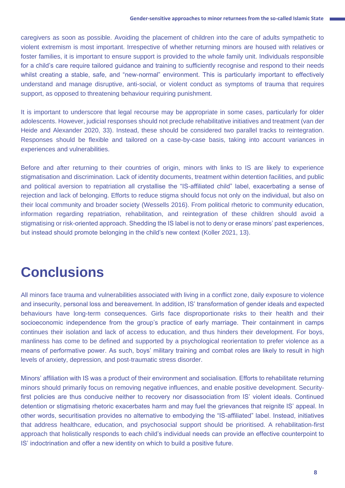caregivers as soon as possible. Avoiding the placement of children into the care of adults sympathetic to violent extremism is most important. Irrespective of whether returning minors are housed with relatives or foster families, it is important to ensure support is provided to the whole family unit. Individuals responsible for a child's care require tailored guidance and training to sufficiently recognise and respond to their needs whilst creating a stable, safe, and "new-normal" environment. This is particularly important to effectively understand and manage disruptive, anti-social, or violent conduct as symptoms of trauma that requires support, as opposed to threatening behaviour requiring punishment.

It is important to underscore that legal recourse may be appropriate in some cases, particularly for older adolescents. However, judicial responses should not preclude rehabilitative initiatives and treatment (van der Heide and Alexander 2020, 33). Instead, these should be considered two parallel tracks to reintegration. Responses should be flexible and tailored on a case-by-case basis, taking into account variances in experiences and vulnerabilities.

Before and after returning to their countries of origin, minors with links to IS are likely to experience stigmatisation and discrimination. Lack of identity documents, treatment within detention facilities, and public and political aversion to repatriation all crystallise the "IS-affiliated child" label, exacerbating a sense of rejection and lack of belonging. Efforts to reduce stigma should focus not only on the individual, but also on their local community and broader society (Wessells 2016). From political rhetoric to community education, information regarding repatriation, rehabilitation, and reintegration of these children should avoid a stigmatising or risk-oriented approach. Shedding the IS label is not to deny or erase minors' past experiences, but instead should promote belonging in the child's new context (Koller 2021, 13).

### **Conclusions**

All minors face trauma and vulnerabilities associated with living in a conflict zone, daily exposure to violence and insecurity, personal loss and bereavement. In addition, IS' transformation of gender ideals and expected behaviours have long-term consequences. Girls face disproportionate risks to their health and their socioeconomic independence from the group's practice of early marriage. Their containment in camps continues their isolation and lack of access to education, and thus hinders their development. For boys, manliness has come to be defined and supported by a psychological reorientation to prefer violence as a means of performative power. As such, boys' military training and combat roles are likely to result in high levels of anxiety, depression, and post-traumatic stress disorder.

Minors' affiliation with IS was a product of their environment and socialisation. Efforts to rehabilitate returning minors should primarily focus on removing negative influences, and enable positive development. Securityfirst policies are thus conducive neither to recovery nor disassociation from IS' violent ideals. Continued detention or stigmatising rhetoric exacerbates harm and may fuel the grievances that reignite IS' appeal. In other words, securitisation provides no alternative to embodying the "IS-affiliated" label. Instead, initiatives that address healthcare, education, and psychosocial support should be prioritised. A rehabilitation-first approach that holistically responds to each child's individual needs can provide an effective counterpoint to IS' indoctrination and offer a new identity on which to build a positive future.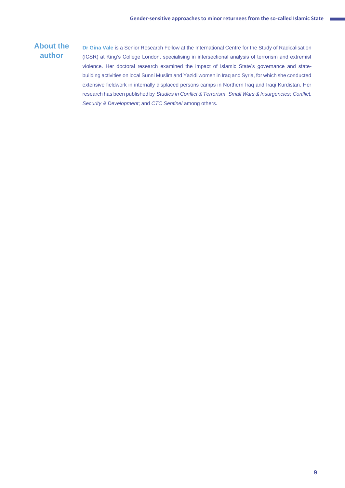#### **About the author**

**Dr Gina Vale** is a Senior Research Fellow at the International Centre for the Study of Radicalisation (ICSR) at King's College London, specialising in intersectional analysis of terrorism and extremist violence. Her doctoral research examined the impact of Islamic State's governance and statebuilding activities on local Sunni Muslim and Yazidi women in Iraq and Syria, for which she conducted extensive fieldwork in internally displaced persons camps in Northern Iraq and Iraqi Kurdistan. Her research has been published by *Studies in Conflict & Terrorism*; *Small Wars & Insurgencies*; *Conflict, Security & Development*; and *CTC Sentinel* among others.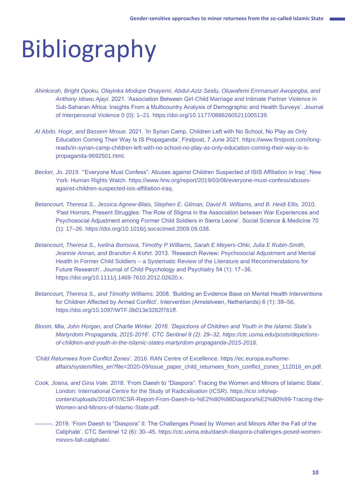# Bibliography

- *Ahinkorah, Bright Opoku, Olayinka Modupe Onayemi, Abdul-Aziz Seidu, Oluwafemi Emmanuel Awopegba, and Anthony Idowu Ajayi.* 2021. 'Association Between Girl-Child Marriage and Intimate Partner Violence in Sub-Saharan Africa: Insights From a Multicountry Analysis of Demographic and Health Surveys'. Journal of Interpersonal Violence 0 (0): 1–21. https://doi.org/10.1177/08862605211005139.
- *Al Abdo, Hogir, and Bassem Mroue.* 2021. 'In Syrian Camp, Children Left with No School, No Play as Only Education Coming Their Way Is IS Propaganda'. Firstpost, 7 June 2021. https://www.firstpost.com/longreads/in-syrian-camp-children-left-with-no-school-no-play-as-only-education-coming-their-way-is-ispropaganda-9692501.html.
- *Becker, Jo. 2019.* '"Everyone Must Confess": Abuses against Children Suspected of ISIS Affiliation in Iraq'. New York: Human Rights Watch. https://www.hrw.org/report/2019/03/06/everyone-must-confess/abusesagainst-children-suspected-isis-affiliation-iraq.
- Betancourt, Theresa S., Jessica Agnew-Blais, Stephen E. Gilman, David R. Williams, and B. Heidi Ellis. 2010. 'Past Horrors, Present Struggles: The Role of Stigma in the Association between War Experiences and Psychosocial Adjustment among Former Child Soldiers in Sierra Leone'. Social Science & Medicine 70 (1): 17–26. https://doi.org/10.1016/j.socscimed.2009.09.038.
- *Betancourt, Theresa S., Ivelina Borisova, Timothy P Williams, Sarah E Meyers-Ohki, Julia E Rubin-Smith, Jeannie Annan, and Brandon A Kohrt.* 2013. 'Research Review: Psychosocial Adjustment and Mental Health in Former Child Soldiers – a Systematic Review of the Literature and Recommendations for Future Research'. Journal of Child Psychology and Psychiatry 54 (1): 17–36. https://doi.org/10.1111/j.1469-7610.2012.02620.x.
- *Betancourt, Theresa S., and Timothy Williams.* 2008. 'Building an Evidence Base on Mental Health Interventions for Children Affected by Armed Conflict'. Intervention (Amstelveen, Netherlands) 6 (1): 39–56. https://doi.org/10.1097/WTF.0b013e3282f761ff.
- *Bloom, Mia, John Horgan, and Charlie Winter. 2016. 'Depictions of Children and Youth in the Islamic State's Martyrdom Propaganda, 2015-2016'. CTC Sentinel 9 (2): 29–32. https://ctc.usma.edu/posts/depictionsof-children-and-youth-in-the-islamic-states-martyrdom-propaganda-2015-2016.*
- *'Child Returnees from Conflict Zones'.* 2016. RAN Centre of Excellence. https://ec.europa.eu/homeaffairs/system/files\_en?file=2020-09/issue\_paper\_child\_returnees\_from\_conflict\_zones\_112016\_en.pdf.
- *Cook, Joana, and Gina Vale.* 2018. 'From Daesh to "Diaspora": Tracing the Women and Minors of Islamic State'. London: International Centre for the Study of Radicalisation (ICSR). https://icsr.info/wpcontent/uploads/2018/07/ICSR-Report-From-Daesh-to-%E2%80%98Diaspora%E2%80%99-Tracing-the-Women-and-Minors-of-Islamic-State.pdf.
- *———.* 2019. 'From Daesh to "Diaspora" II: The Challenges Posed by Women and Minors After the Fall of the Caliphate'. CTC Sentinel 12 (6): 30–45. https://ctc.usma.edu/daesh-diaspora-challenges-posed-womenminors-fall-caliphate/.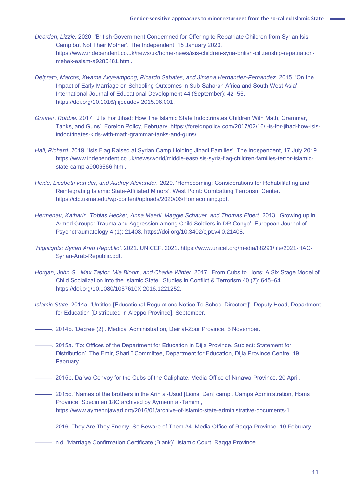- *Dearden, Lizzie.* 2020. 'British Government Condemned for Offering to Repatriate Children from Syrian Isis Camp but Not Their Mother'. The Independent, 15 January 2020. https://www.independent.co.uk/news/uk/home-news/isis-children-syria-british-citizenship-repatriationmehak-aslam-a9285481.html.
- *Delprato, Marcos, Kwame Akyeampong, Ricardo Sabates, and Jimena Hernandez-Fernandez.* 2015. 'On the Impact of Early Marriage on Schooling Outcomes in Sub-Saharan Africa and South West Asia'. International Journal of Educational Development 44 (September): 42–55. https://doi.org/10.1016/j.ijedudev.2015.06.001.
- *Gramer, Robbie.* 2017. 'J Is For Jihad: How The Islamic State Indoctrinates Children With Math, Grammar, Tanks, and Guns'. Foreign Policy, February. https://foreignpolicy.com/2017/02/16/j-is-for-jihad-how-isisindoctrinates-kids-with-math-grammar-tanks-and-guns/.
- *Hall, Richard.* 2019. 'Isis Flag Raised at Syrian Camp Holding Jihadi Families'. The Independent, 17 July 2019. https://www.independent.co.uk/news/world/middle-east/isis-syria-flag-children-families-terror-islamicstate-camp-a9006566.html.
- *Heide, Liesbeth van der, and Audrey Alexander.* 2020. 'Homecoming: Considerations for Rehabilitating and Reintegrating Islamic State-Affiliated Minors'. West Point: Combatting Terrorism Center. https://ctc.usma.edu/wp-content/uploads/2020/06/Homecoming.pdf.
- *Hermenau, Katharin, Tobias Hecker, Anna Maedl, Maggie Schauer, and Thomas Elbert.* 2013. 'Growing up in Armed Groups: Trauma and Aggression among Child Soldiers in DR Congo'. European Journal of Psychotraumatology 4 (1): 21408. https://doi.org/10.3402/ejpt.v4i0.21408.
- *'Highlights: Syrian Arab Republic'.* 2021. UNICEF. 2021. https://www.unicef.org/media/88291/file/2021-HAC-Syrian-Arab-Republic.pdf.
- *Horgan, John G., Max Taylor, Mia Bloom, and Charlie Winter.* 2017. 'From Cubs to Lions: A Six Stage Model of Child Socialization into the Islamic State'. Studies in Conflict & Terrorism 40 (7): 645–64. https://doi.org/10.1080/1057610X.2016.1221252.
- *Islamic State.* 2014a. 'Untitled [Educational Regulations Notice To School Directors]'. Deputy Head, Department for Education [Distributed in Aleppo Province]. September.
- *———.* 2014b. 'Decree (2)'. Medical Administration, Deir al-Zour Province. 5 November.
- *———.* 2015a. 'To: Offices of the Department for Education in Dijla Province. Subject: Statement for Distribution'. The Emir, Shariʿī Committee, Department for Education, Dijla Province Centre. 19 February.
- ———. 2015b. Daʿwa Convoy for the Cubs of the Caliphate. Media Office of Nīnawā Province. 20 April.
- ———. 2015c. 'Names of the brothers in the Arin al-Usud [Lions' Den] camp'. Camps Administration, Homs Province. Specimen 18C archived by Aymenn al-Tamimi, https://www.aymennjawad.org/2016/01/archive-of-islamic-state-administrative-documents-1.
- ———. 2016. They Are They Enemy, So Beware of Them #4. Media Office of Raqqa Province. 10 February.
- ———. n.d. 'Marriage Confirmation Certificate (Blank)'. Islamic Court, Raqqa Province.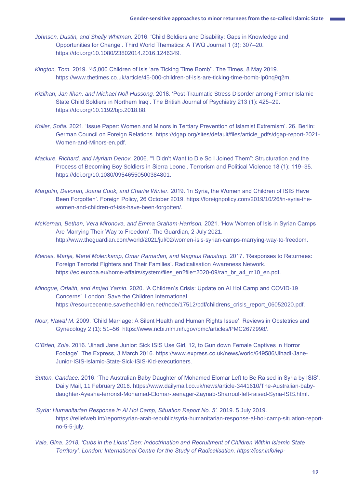- *Johnson, Dustin, and Shelly Whitman.* 2016. 'Child Soldiers and Disability: Gaps in Knowledge and Opportunities for Change'. Third World Thematics: A TWQ Journal 1 (3): 307–20. https://doi.org/10.1080/23802014.2016.1246349.
- *Kington, Tom.* 2019. '45,000 Children of Isis 'are Ticking Time Bomb''. The Times, 8 May 2019. https://www.thetimes.co.uk/article/45-000-children-of-isis-are-ticking-time-bomb-lp0nq9q2m.
- *Kizilhan, Jan Ilhan, and Michael Noll-Hussong.* 2018. 'Post-Traumatic Stress Disorder among Former Islamic State Child Soldiers in Northern Iraq'. The British Journal of Psychiatry 213 (1): 425–29. https://doi.org/10.1192/bjp.2018.88.
- *Koller, Sofia.* 2021. 'Issue Paper: Women and Minors in Tertiary Prevention of Islamist Extremism'. 26. Berlin: German Council on Foreign Relations. https://dgap.org/sites/default/files/article\_pdfs/dgap-report-2021- Women-and-Minors-en.pdf.
- *Maclure, Richard, and Myriam Denov.* 2006. '"I Didn't Want to Die So I Joined Them": Structuration and the Process of Becoming Boy Soldiers in Sierra Leone'. Terrorism and Political Violence 18 (1): 119–35. https://doi.org/10.1080/09546550500384801.
- *Margolin, Devorah, Joana Cook, and Charlie Winter.* 2019. 'In Syria, the Women and Children of ISIS Have Been Forgotten'. Foreign Policy, 26 October 2019. https://foreignpolicy.com/2019/10/26/in-syria-thewomen-and-children-of-isis-have-been-forgotten/.
- *McKernan, Bethan, Vera Mironova, and Emma Graham-Harrison.* 2021. 'How Women of Isis in Syrian Camps Are Marrying Their Way to Freedom'. The Guardian, 2 July 2021. http://www.theguardian.com/world/2021/jul/02/women-isis-syrian-camps-marrying-way-to-freedom.
- *Meines, Marije, Merel Molenkamp, Omar Ramadan, and Magnus Ranstorp.* 2017. 'Responses to Returnees: Foreign Terrorist Fighters and Their Families'. Radicalisation Awareness Network. https://ec.europa.eu/home-affairs/system/files\_en?file=2020-09/ran\_br\_a4\_m10\_en.pdf.
- *Minogue, Orlaith, and Amjad Yamin.* 2020. 'A Children's Crisis: Update on Al Hol Camp and COVID-19 Concerns'. London: Save the Children International. https://resourcecentre.savethechildren.net/node/17512/pdf/childrens\_crisis\_report\_06052020.pdf.
- *Nour, Nawal M.* 2009. 'Child Marriage: A Silent Health and Human Rights Issue'. Reviews in Obstetrics and Gynecology 2 (1): 51–56. https://www.ncbi.nlm.nih.gov/pmc/articles/PMC2672998/.
- *O'Brien, Zoie.* 2016. 'Jihadi Jane Junior: Sick ISIS Use Girl, 12, to Gun down Female Captives in Horror Footage'. The Express, 3 March 2016. https://www.express.co.uk/news/world/649586/Jihadi-Jane-Junior-ISIS-Islamic-State-Sick-ISIS-Kid-executioners.
- *Sutton, Candace.* 2016. 'The Australian Baby Daughter of Mohamed Elomar Left to Be Raised in Syria by ISIS'. Daily Mail, 11 February 2016. https://www.dailymail.co.uk/news/article-3441610/The-Australian-babydaughter-Ayesha-terrorist-Mohamed-Elomar-teenager-Zaynab-Sharrouf-left-raised-Syria-ISIS.html.
- *'Syria: Humanitarian Response in Al Hol Camp, Situation Report No. 5'.* 2019. 5 July 2019. https://reliefweb.int/report/syrian-arab-republic/syria-humanitarian-response-al-hol-camp-situation-reportno-5-5-july.
- *Vale, Gina. 2018. 'Cubs in the Lions' Den: Indoctrination and Recruitment of Children Within Islamic State Territory'. London: International Centre for the Study of Radicalisation. https://icsr.info/wp-*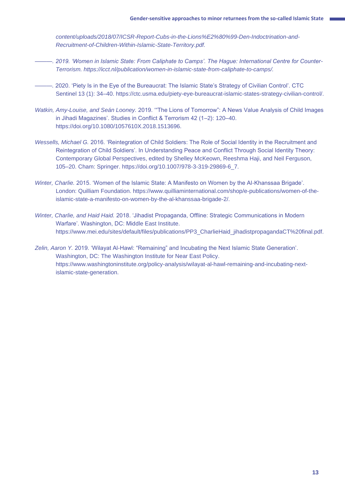*content/uploads/2018/07/ICSR-Report-Cubs-in-the-Lions%E2%80%99-Den-Indoctrination-and-Recruitment-of-Children-Within-Islamic-State-Territory.pdf.*

- *———. 2019. 'Women in Islamic State: From Caliphate to Camps'. The Hague: International Centre for Counter-Terrorism. https://icct.nl/publication/women-in-islamic-state-from-caliphate-to-camps/.*
- *———.* 2020. 'Piety Is in the Eye of the Bureaucrat: The Islamic State's Strategy of Civilian Control'. CTC Sentinel 13 (1): 34–40. https://ctc.usma.edu/piety-eye-bureaucrat-islamic-states-strategy-civilian-control/.
- *Watkin, Amy-Louise, and Seán Looney.* 2019. '"The Lions of Tomorrow": A News Value Analysis of Child Images in Jihadi Magazines'. Studies in Conflict & Terrorism 42 (1–2): 120–40. https://doi.org/10.1080/1057610X.2018.1513696.
- *Wessells, Michael G.* 2016. 'Reintegration of Child Soldiers: The Role of Social Identity in the Recruitment and Reintegration of Child Soldiers'. In Understanding Peace and Conflict Through Social Identity Theory: Contemporary Global Perspectives, edited by Shelley McKeown, Reeshma Haji, and Neil Ferguson, 105–20. Cham: Springer. https://doi.org/10.1007/978-3-319-29869-6\_7.
- *Winter, Charlie.* 2015. 'Women of the Islamic State: A Manifesto on Women by the Al-Khanssaa Brigade'. London: Quilliam Foundation. https://www.quilliaminternational.com/shop/e-publications/women-of-theislamic-state-a-manifesto-on-women-by-the-al-khanssaa-brigade-2/.
- *Winter, Charlie, and Haid Haid.* 2018. 'Jihadist Propaganda, Offline: Strategic Communications in Modern Warfare'. Washington, DC: Middle East Institute. https://www.mei.edu/sites/default/files/publications/PP3\_CharlieHaid\_jihadistpropagandaCT%20final.pdf*.*
- *Zelin, Aaron Y.* 2019. 'Wilayat Al-Hawl: "Remaining" and Incubating the Next Islamic State Generation'. Washington, DC: The Washington Institute for Near East Policy. https://www.washingtoninstitute.org/policy-analysis/wilayat-al-hawl-remaining-and-incubating-nextislamic-state-generation.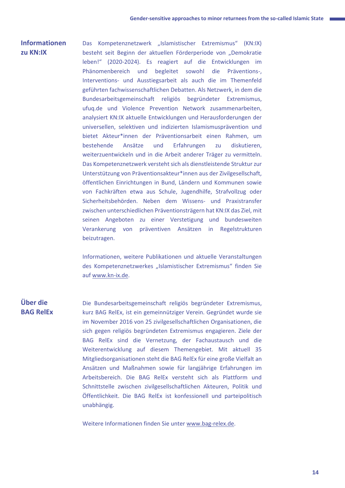#### **Informationen zu KN:IX**

Das Kompetenznetzwerk "Islamistischer Extremismus" (KN:IX) besteht seit Beginn der aktuellen Förderperiode von "Demokratie leben!" (2020-2024). Es reagiert auf die Entwicklungen im Phänomenbereich und begleitet sowohl die Präventions-, Interventions- und Ausstiegsarbeit als auch die im Themenfeld geführten fachwissenschaftlichen Debatten. Als Netzwerk, in dem die Bundesarbeitsgemeinschaft religiös begründeter Extremismus, ufuq.de und Violence Prevention Network zusammenarbeiten, analysiert KN:IX aktuelle Entwicklungen und Herausforderungen der universellen, selektiven und indizierten Islamismusprävention und bietet Akteur\*innen der Präventionsarbeit einen Rahmen, um bestehende Ansätze und Erfahrungen zu diskutieren, weiterzuentwickeln und in die Arbeit anderer Träger zu vermitteln. Das Kompetenznetzwerk versteht sich als dienstleistende Struktur zur Unterstützung von Präventionsakteur\*innen aus der Zivilgesellschaft, öffentlichen Einrichtungen in Bund, Ländern und Kommunen sowie von Fachkräften etwa aus Schule, Jugendhilfe, Strafvollzug oder Sicherheitsbehörden. Neben dem Wissens- und Praxistransfer zwischen unterschiedlichen Präventionsträgern hat KN:IX das Ziel, mit seinen Angeboten zu einer Verstetigung und bundesweiten Verankerung von präventiven Ansätzen in Regelstrukturen beizutragen.

Informationen, weitere Publikationen und aktuelle Veranstaltungen des Kompetenznetzwerkes "Islamistischer Extremismus" finden Sie auf [www.kn-ix.de.](http://www.kn-ix.de/)

#### **Über die BAG RelEx**

Die Bundesarbeitsgemeinschaft religiös begründeter Extremismus, kurz BAG RelEx, ist ein gemeinnütziger Verein. Gegründet wurde sie im November 2016 von 25 zivilgesellschaftlichen Organisationen, die sich gegen religiös begründeten Extremismus engagieren. Ziele der BAG RelEx sind die Vernetzung, der Fachaustausch und die Weiterentwicklung auf diesem Themengebiet. Mit aktuell 35 Mitgliedsorganisationen steht die BAG RelEx für eine große Vielfalt an Ansätzen und Maßnahmen sowie für langjährige Erfahrungen im Arbeitsbereich. Die BAG RelEx versteht sich als Plattform und Schnittstelle zwischen zivilgesellschaftlichen Akteuren, Politik und Öffentlichkeit. Die BAG RelEx ist konfessionell und parteipolitisch unabhängig.

Weitere Informationen finden Sie unter [www.bag-relex.de.](http://www.bag-relex.de/)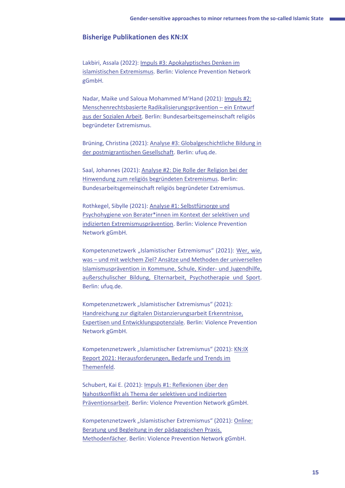#### **Bisherige Publikationen des KN:IX**

Lakbiri, Assala (2022): [Impuls #3: Apokalyptisches Denken im](https://kn-ix.de/publikationen/?doing_wp_cron=1652796883.9678499698638916015625) [islamistischen Extremismus.](https://kn-ix.de/publikationen/?doing_wp_cron=1652796883.9678499698638916015625) Berlin: Violence Prevention Network gGmbH.

Nadar, Maike und Saloua Mohammed M'Hand (2021): [Impuls #2:](https://kn-ix.de/publikationen/?doing_wp_cron=1651502274.6761910915374755859375)  [Menschenrechtsbasierte Radikalisierungsprävention](https://kn-ix.de/publikationen/?doing_wp_cron=1651502274.6761910915374755859375) – ein Entwurf [aus der Sozialen Arbeit.](https://kn-ix.de/publikationen/?doing_wp_cron=1651502274.6761910915374755859375) Berlin: Bundesarbeitsgemeinschaft religiös begründeter Extremismus.

Brüning, Christina (2021): [Analyse #3: Globalgeschichtliche Bildung in](https://kn-ix.de/publikationen/?doing_wp_cron=1651502274.6761910915374755859375)  [der postmigrantischen Gesellschaft.](https://kn-ix.de/publikationen/?doing_wp_cron=1651502274.6761910915374755859375) Berlin: ufuq.de.

Saal, Johannes (2021): [Analyse #2: Die Rolle der Religion bei der](https://kn-ix.de/publikationen/?doing_wp_cron=1651502274.6761910915374755859375)  [Hinwendung zum religiös begründeten Extremismus.](https://kn-ix.de/publikationen/?doing_wp_cron=1651502274.6761910915374755859375) Berlin: Bundesarbeitsgemeinschaft religiös begründeter Extremismus.

Rothkegel, Sibylle (2021): [Analyse #1: Selbstfürsorge und](https://kn-ix.de/publikationen/?doing_wp_cron=1651502274.6761910915374755859375)  [Psychohygiene von Berater\\*innen im Kontext der selektiven und](https://kn-ix.de/publikationen/?doing_wp_cron=1651502274.6761910915374755859375)  [indizierten Extremismusprävention.](https://kn-ix.de/publikationen/?doing_wp_cron=1651502274.6761910915374755859375) Berlin: Violence Prevention Network gGmbH.

Kompetenznetzwerk "Islamistischer Extremismus" (2021): Wer, wie, was – [und mit welchem Ziel? Ansätze und Methoden der universellen](https://kn-ix.de/publikationen/?doing_wp_cron=1651502274.6761910915374755859375)  [Islamismusprävention in Kommune, Schule, Kinder-](https://kn-ix.de/publikationen/?doing_wp_cron=1651502274.6761910915374755859375) und Jugendhilfe, [außerschulischer Bildung, Elternarbeit, Psychotherapie und Sport.](https://kn-ix.de/publikationen/?doing_wp_cron=1651502274.6761910915374755859375) Berlin: ufuq.de.

Kompetenznetzwerk "Islamistischer Extremismus" (2021): [Handreichung zur digitalen Distanzierungsarbeit Erkenntnisse,](https://kn-ix.de/publikationen/?doing_wp_cron=1651502274.6761910915374755859375)  [Expertisen und Entwicklungspotenziale.](https://kn-ix.de/publikationen/?doing_wp_cron=1651502274.6761910915374755859375) Berlin: Violence Prevention Network gGmbH.

Kompetenznetzwerk "Islamistischer Extremismus" (2021): KN:IX [Report 2021: Herausforderungen, Bedarfe und Trends im](https://kn-ix.de/publikationen/?doing_wp_cron=1651502274.6761910915374755859375)  [Themenfeld.](https://kn-ix.de/publikationen/?doing_wp_cron=1651502274.6761910915374755859375)

Schubert, Kai E. (2021)[: Impuls #1: Reflexionen über den](https://kn-ix.de/publikationen/?doing_wp_cron=1651502274.6761910915374755859375)  [Nahostkonflikt als Thema der selektiven und indizierten](https://kn-ix.de/publikationen/?doing_wp_cron=1651502274.6761910915374755859375)  [Präventionsarbeit.](https://kn-ix.de/publikationen/?doing_wp_cron=1651502274.6761910915374755859375) Berlin: Violence Prevention Network gGmbH.

Kompetenznetzwerk "Islamistischer Extremismus" (2021): Online: [Beratung und Begleitung in der pädagogischen Praxis.](https://kn-ix.de/publikationen/?doing_wp_cron=1651502274.6761910915374755859375)  [Methodenfächer.](https://kn-ix.de/publikationen/?doing_wp_cron=1651502274.6761910915374755859375) Berlin: Violence Prevention Network gGmbH.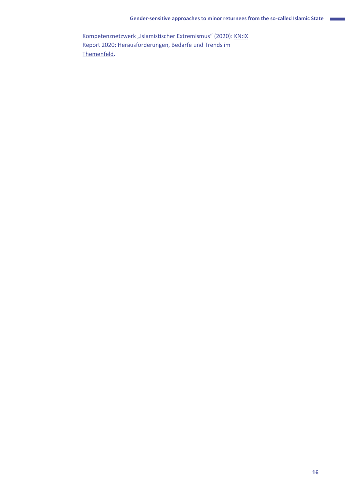Kompetenznetzwerk "Islamistischer Extremismus" (2020): KN:IX [Report 2020: Herausforderungen, Bedarfe und Trends im](https://kn-ix.de/publikationen/?doing_wp_cron=1651502274.6761910915374755859375)  [Themenfeld.](https://kn-ix.de/publikationen/?doing_wp_cron=1651502274.6761910915374755859375)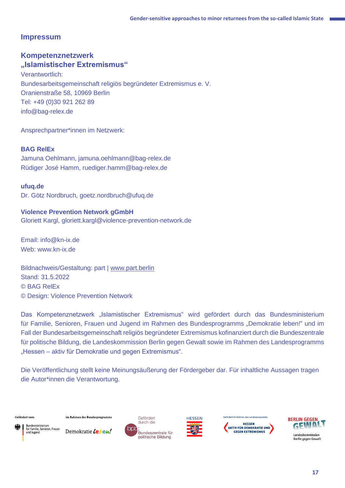#### **Impressum**

#### **Kompetenznetzwerk "Islamistischer Extremismus"**

Verantwortlich: Bundesarbeitsgemeinschaft religiös begründeter Extremismus e. V. Oranienstraße 58, 10969 Berlin Tel: +49 (0)30 921 262 89 info@bag-relex.de

Ansprechpartner\*innen im Netzwerk:

#### **BAG RelEx**

Jamuna Oehlmann, jamuna.oehlmann@bag-relex.de Rüdiger José Hamm, ruediger.hamm@bag-relex.de

#### **ufuq.de**

Dr. Götz Nordbruch, goetz.nordbruch@ufuq.de

#### **Violence Prevention Network gGmbH**

Gloriett Kargl, gloriett.kargl@violence-prevention-network.de

Email: info@kn-ix.de Web: www.kn-ix.de

Bildnachweis/Gestaltung: part | [www.part.berlin](http://www.part.berlin/) Stand: 31.5.2022 © BAG RelEx © Design: Violence Prevention Network

Das Kompetenznetzwerk "Islamistischer Extremismus" wird gefördert durch das Bundesministerium für Familie, Senioren, Frauen und Jugend im Rahmen des Bundesprogramms "Demokratie leben!" und im Fall der Bundesarbeitsgemeinschaft religiös begründeter Extremismus kofinanziert durch die Bundeszentrale für politische Bildung, die Landeskommission Berlin gegen Gewalt sowie im Rahmen des Landesprogramms "Hessen – aktiv für Demokratie und gegen Extremismus".

Die Veröffentlichung stellt keine Meinungsäußerung der Fördergeber dar. Für inhaltliche Aussagen tragen die Autor\*innen die Verantwortung.

Gefördert vom

im Rahmen des Bundesprogramms



Demokratie Leben!